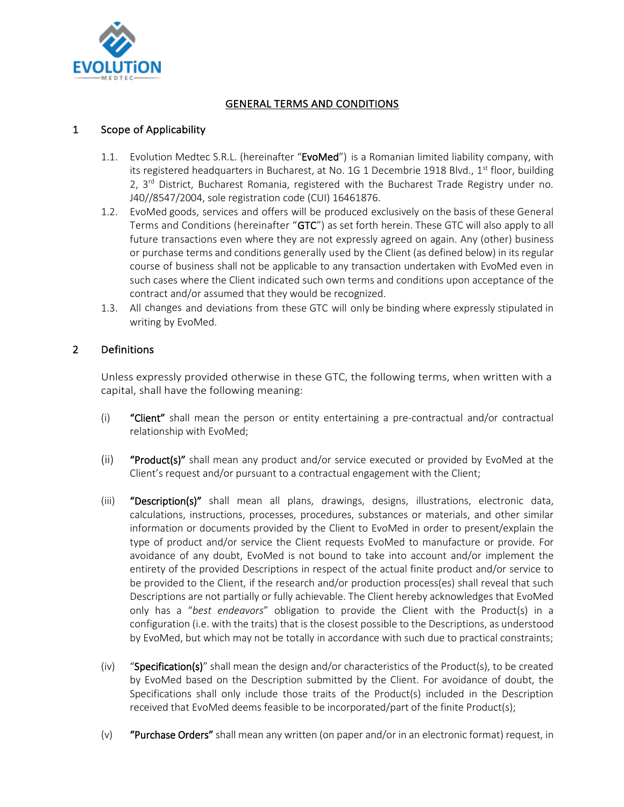

# GENERAL TERMS AND CONDITIONS

# 1 Scope of Applicability

- 1.1. Evolution Medtec S.R.L. (hereinafter "EvoMed") is a Romanian limited liability company, with its registered headquarters in Bucharest, at No. 1G 1 Decembrie 1918 Blvd., 1<sup>st</sup> floor, building 2, 3<sup>rd</sup> District, Bucharest Romania, registered with the Bucharest Trade Registry under no. J40//8547/2004, sole registration code (CUI) 16461876.
- 1.2. EvoMed goods, services and offers will be produced exclusively on the basis of these General Terms and Conditions (hereinafter "GTC") as set forth herein. These GTC will also apply to all future transactions even where they are not expressly agreed on again. Any (other) business or purchase terms and conditions generally used by the Client (as defined below) in its regular course of business shall not be applicable to any transaction undertaken with EvoMed even in such cases where the Client indicated such own terms and conditions upon acceptance of the contract and/or assumed that they would be recognized.
- 1.3. All changes and deviations from these GTC will only be binding where expressly stipulated in writing by EvoMed.

# 2 Definitions

Unless expressly provided otherwise in these GTC, the following terms, when written with a capital, shall have the following meaning:

- (i) "Client" shall mean the person or entity entertaining a pre-contractual and/or contractual relationship with EvoMed;
- (ii) **"Product(s)"** shall mean any product and/or service executed or provided by EvoMed at the Client's request and/or pursuant to a contractual engagement with the Client;
- (iii) "Description(s)" shall mean all plans, drawings, designs, illustrations, electronic data, calculations, instructions, processes, procedures, substances or materials, and other similar information or documents provided by the Client to EvoMed in order to present/explain the type of product and/or service the Client requests EvoMed to manufacture or provide. For avoidance of any doubt, EvoMed is not bound to take into account and/or implement the entirety of the provided Descriptions in respect of the actual finite product and/or service to be provided to the Client, if the research and/or production process(es) shall reveal that such Descriptions are not partially or fully achievable. The Client hereby acknowledges that EvoMed only has a "*best endeavors*" obligation to provide the Client with the Product(s) in a configuration (i.e. with the traits) that is the closest possible to the Descriptions, as understood by EvoMed, but which may not be totally in accordance with such due to practical constraints;
- $(iv)$  "Specification(s)" shall mean the design and/or characteristics of the Product(s), to be created by EvoMed based on the Description submitted by the Client. For avoidance of doubt, the Specifications shall only include those traits of the Product(s) included in the Description received that EvoMed deems feasible to be incorporated/part of the finite Product(s);
- (v) "Purchase Orders" shall mean any written (on paper and/or in an electronic format) request, in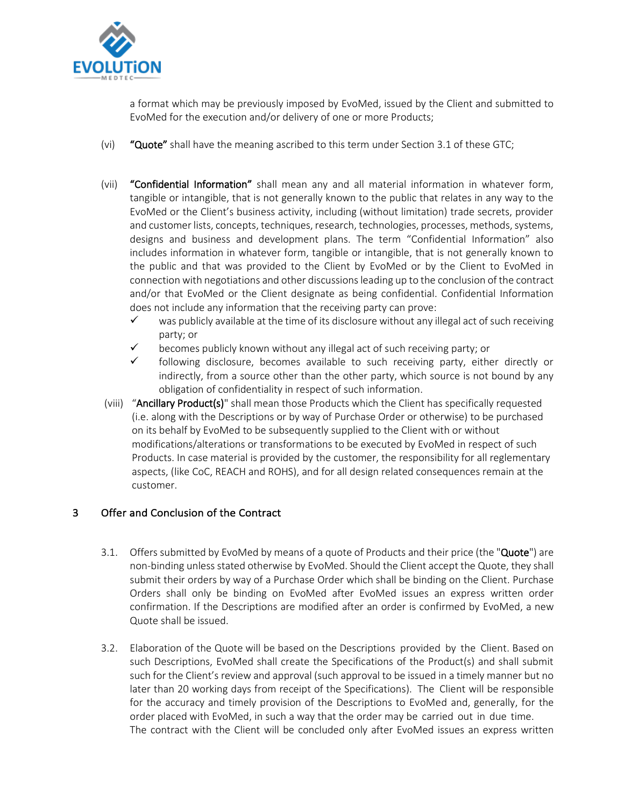

a format which may be previously imposed by EvoMed, issued by the Client and submitted to EvoMed for the execution and/or delivery of one or more Products;

- (vi) "Quote" shall have the meaning ascribed to this term under Section 3.1 of these GTC;
- (vii) "Confidential Information" shall mean any and all material information in whatever form, tangible or intangible, that is not generally known to the public that relates in any way to the EvoMed or the Client's business activity, including (without limitation) trade secrets, provider and customer lists, concepts, techniques, research, technologies, processes, methods, systems, designs and business and development plans. The term "Confidential Information" also includes information in whatever form, tangible or intangible, that is not generally known to the public and that was provided to the Client by EvoMed or by the Client to EvoMed in connection with negotiations and other discussions leading up to the conclusion of the contract and/or that EvoMed or the Client designate as being confidential. Confidential Information does not include any information that the receiving party can prove:
	- $\checkmark$  was publicly available at the time of its disclosure without any illegal act of such receiving party; or
	- $\checkmark$  becomes publicly known without any illegal act of such receiving party; or
	- $\checkmark$  following disclosure, becomes available to such receiving party, either directly or indirectly, from a source other than the other party, which source is not bound by any obligation of confidentiality in respect of such information.
- (viii) "Ancillary Product(s)" shall mean those Products which the Client has specifically requested (i.e. along with the Descriptions or by way of Purchase Order or otherwise) to be purchased on its behalf by EvoMed to be subsequently supplied to the Client with or without modifications/alterations or transformations to be executed by EvoMed in respect of such Products. In case material is provided by the customer, the responsibility for all reglementary aspects, (like CoC, REACH and ROHS), and for all design related consequences remain at the customer.

# 3 Offer and Conclusion of the Contract

- 3.1. Offers submitted by EvoMed by means of a quote of Products and their price (the "Quote") are non-binding unless stated otherwise by EvoMed. Should the Client accept the Quote, they shall submit their orders by way of a Purchase Order which shall be binding on the Client. Purchase Orders shall only be binding on EvoMed after EvoMed issues an express written order confirmation. If the Descriptions are modified after an order is confirmed by EvoMed, a new Quote shall be issued.
- 3.2. Elaboration of the Quote will be based on the Descriptions provided by the Client. Based on such Descriptions, EvoMed shall create the Specifications of the Product(s) and shall submit such for the Client's review and approval (such approval to be issued in a timely manner but no later than 20 working days from receipt of the Specifications). The Client will be responsible for the accuracy and timely provision of the Descriptions to EvoMed and, generally, for the order placed with EvoMed, in such a way that the order may be carried out in due time. The contract with the Client will be concluded only after EvoMed issues an express written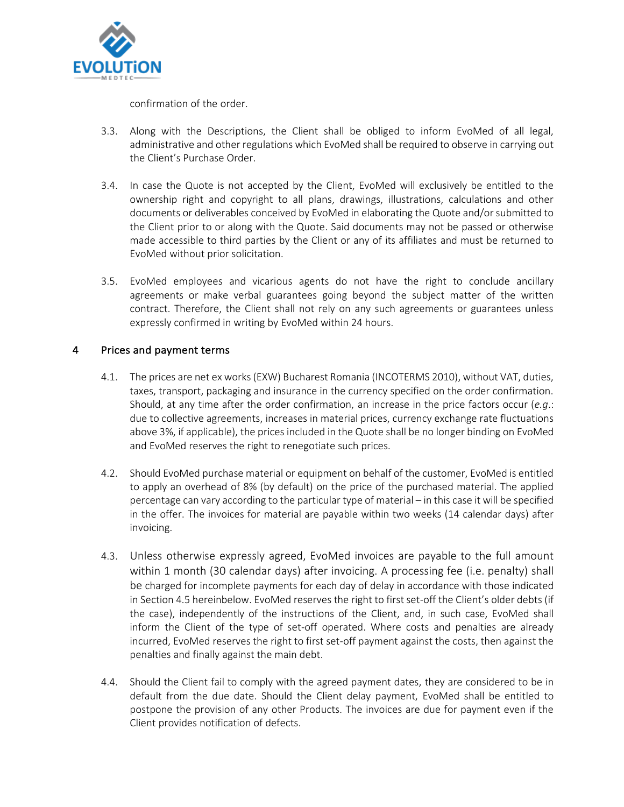

confirmation of the order.

- 3.3. Along with the Descriptions, the Client shall be obliged to inform EvoMed of all legal, administrative and other regulations which EvoMed shall be required to observe in carrying out the Client's Purchase Order.
- 3.4. In case the Quote is not accepted by the Client, EvoMed will exclusively be entitled to the ownership right and copyright to all plans, drawings, illustrations, calculations and other documents or deliverables conceived by EvoMed in elaborating the Quote and/or submitted to the Client prior to or along with the Quote. Said documents may not be passed or otherwise made accessible to third parties by the Client or any of its affiliates and must be returned to EvoMed without prior solicitation.
- 3.5. EvoMed employees and vicarious agents do not have the right to conclude ancillary agreements or make verbal guarantees going beyond the subject matter of the written contract. Therefore, the Client shall not rely on any such agreements or guarantees unless expressly confirmed in writing by EvoMed within 24 hours.

# 4 Prices and payment terms

- 4.1. The prices are net ex works (EXW) Bucharest Romania (INCOTERMS 2010), without VAT, duties, taxes, transport, packaging and insurance in the currency specified on the order confirmation. Should, at any time after the order confirmation, an increase in the price factors occur (*e.g*.: due to collective agreements, increases in material prices, currency exchange rate fluctuations above 3%, if applicable), the prices included in the Quote shall be no longer binding on EvoMed and EvoMed reserves the right to renegotiate such prices.
- 4.2. Should EvoMed purchase material or equipment on behalf of the customer, EvoMed is entitled to apply an overhead of 8% (by default) on the price of the purchased material. The applied percentage can vary according to the particular type of material – in this case it will be specified in the offer. The invoices for material are payable within two weeks (14 calendar days) after invoicing.
- 4.3. Unless otherwise expressly agreed, EvoMed invoices are payable to the full amount within 1 month (30 calendar days) after invoicing. A processing fee (i.e. penalty) shall be charged for incomplete payments for each day of delay in accordance with those indicated in Section 4.5 hereinbelow. EvoMed reserves the right to first set-off the Client's older debts (if the case), independently of the instructions of the Client, and, in such case, EvoMed shall inform the Client of the type of set-off operated. Where costs and penalties are already incurred, EvoMed reserves the right to first set-off payment against the costs, then against the penalties and finally against the main debt.
- 4.4. Should the Client fail to comply with the agreed payment dates, they are considered to be in default from the due date. Should the Client delay payment, EvoMed shall be entitled to postpone the provision of any other Products. The invoices are due for payment even if the Client provides notification of defects.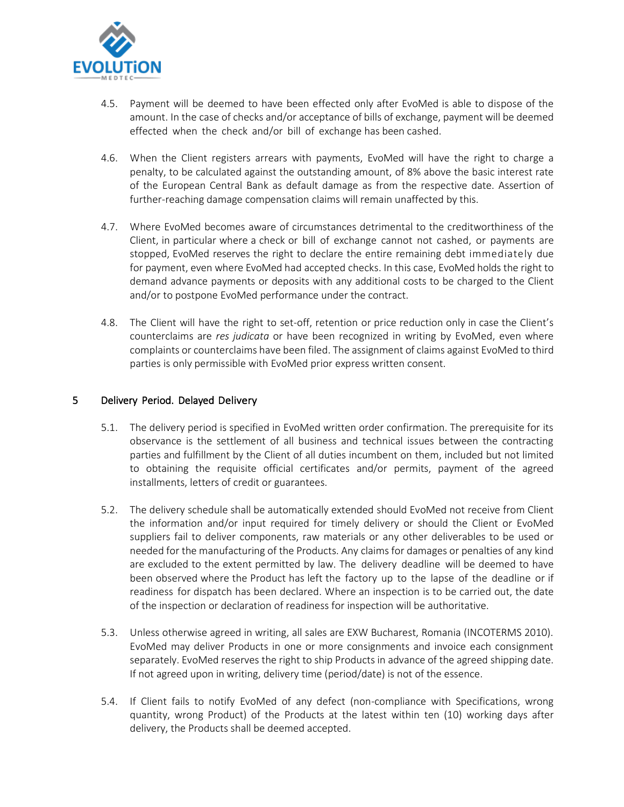

- 4.5. Payment will be deemed to have been effected only after EvoMed is able to dispose of the amount. In the case of checks and/or acceptance of bills of exchange, payment will be deemed effected when the check and/or bill of exchange has been cashed.
- 4.6. When the Client registers arrears with payments, EvoMed will have the right to charge a penalty, to be calculated against the outstanding amount, of 8% above the basic interest rate of the European Central Bank as default damage as from the respective date. Assertion of further-reaching damage compensation claims will remain unaffected by this.
- 4.7. Where EvoMed becomes aware of circumstances detrimental to the creditworthiness of the Client, in particular where a check or bill of exchange cannot not cashed, or payments are stopped, EvoMed reserves the right to declare the entire remaining debt immediately due for payment, even where EvoMed had accepted checks. In this case, EvoMed holds the right to demand advance payments or deposits with any additional costs to be charged to the Client and/or to postpone EvoMed performance under the contract.
- 4.8. The Client will have the right to set-off, retention or price reduction only in case the Client's counterclaims are *res judicata* or have been recognized in writing by EvoMed, even where complaints or counterclaims have been filed. The assignment of claims against EvoMed to third parties is only permissible with EvoMed prior express written consent.

#### 5 Delivery Period. Delayed Delivery

- 5.1. The delivery period is specified in EvoMed written order confirmation. The prerequisite for its observance is the settlement of all business and technical issues between the contracting parties and fulfillment by the Client of all duties incumbent on them, included but not limited to obtaining the requisite official certificates and/or permits, payment of the agreed installments, letters of credit or guarantees.
- 5.2. The delivery schedule shall be automatically extended should EvoMed not receive from Client the information and/or input required for timely delivery or should the Client or EvoMed suppliers fail to deliver components, raw materials or any other deliverables to be used or needed for the manufacturing of the Products. Any claims for damages or penalties of any kind are excluded to the extent permitted by law. The delivery deadline will be deemed to have been observed where the Product has left the factory up to the lapse of the deadline or if readiness for dispatch has been declared. Where an inspection is to be carried out, the date of the inspection or declaration of readiness for inspection will be authoritative.
- 5.3. Unless otherwise agreed in writing, all sales are EXW Bucharest, Romania (INCOTERMS 2010). EvoMed may deliver Products in one or more consignments and invoice each consignment separately. EvoMed reserves the right to ship Products in advance of the agreed shipping date. If not agreed upon in writing, delivery time (period/date) is not of the essence.
- 5.4. If Client fails to notify EvoMed of any defect (non-compliance with Specifications, wrong quantity, wrong Product) of the Products at the latest within ten (10) working days after delivery, the Products shall be deemed accepted.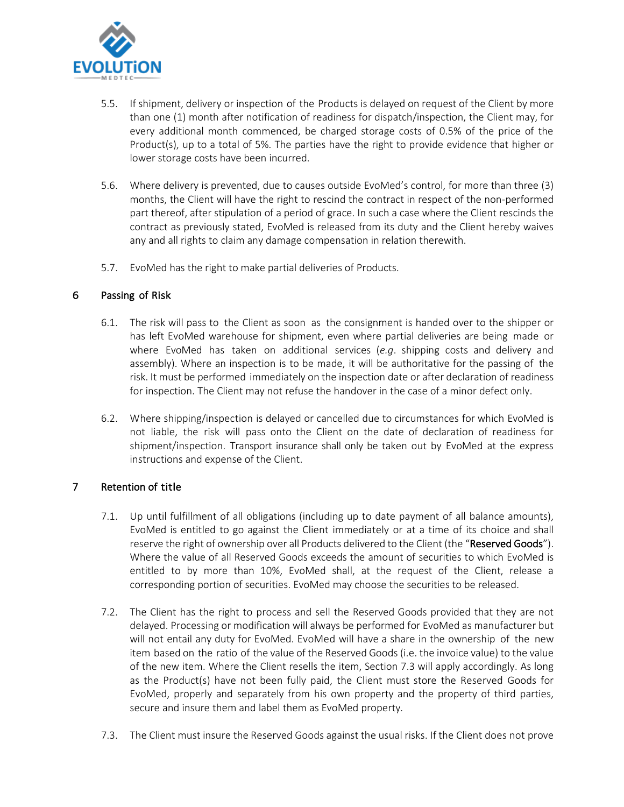

- 5.5. If shipment, delivery or inspection of the Products is delayed on request of the Client by more than one (1) month after notification of readiness for dispatch/inspection, the Client may, for every additional month commenced, be charged storage costs of 0.5% of the price of the Product(s), up to a total of 5%. The parties have the right to provide evidence that higher or lower storage costs have been incurred.
- 5.6. Where delivery is prevented, due to causes outside EvoMed's control, for more than three (3) months, the Client will have the right to rescind the contract in respect of the non-performed part thereof, after stipulation of a period of grace. In such a case where the Client rescinds the contract as previously stated, EvoMed is released from its duty and the Client hereby waives any and all rights to claim any damage compensation in relation therewith.
- 5.7. EvoMed has the right to make partial deliveries of Products.

# 6 Passing of Risk

- 6.1. The risk will pass to the Client as soon as the consignment is handed over to the shipper or has left EvoMed warehouse for shipment, even where partial deliveries are being made or where EvoMed has taken on additional services (*e.g*. shipping costs and delivery and assembly). Where an inspection is to be made, it will be authoritative for the passing of the risk. It must be performed immediately on the inspection date or after declaration of readiness for inspection. The Client may not refuse the handover in the case of a minor defect only.
- 6.2. Where shipping/inspection is delayed or cancelled due to circumstances for which EvoMed is not liable, the risk will pass onto the Client on the date of declaration of readiness for shipment/inspection. Transport insurance shall only be taken out by EvoMed at the express instructions and expense of the Client.

# 7 Retention of title

- 7.1. Up until fulfillment of all obligations (including up to date payment of all balance amounts), EvoMed is entitled to go against the Client immediately or at a time of its choice and shall reserve the right of ownership over all Products delivered to the Client (the "Reserved Goods"). Where the value of all Reserved Goods exceeds the amount of securities to which EvoMed is entitled to by more than 10%, EvoMed shall, at the request of the Client, release a corresponding portion of securities. EvoMed may choose the securities to be released.
- 7.2. The Client has the right to process and sell the Reserved Goods provided that they are not delayed. Processing or modification will always be performed for EvoMed as manufacturer but will not entail any duty for EvoMed. EvoMed will have a share in the ownership of the new item based on the ratio of the value of the Reserved Goods(i.e. the invoice value) to the value of the new item. Where the Client resells the item, Section 7.3 will apply accordingly. As long as the Product(s) have not been fully paid, the Client must store the Reserved Goods for EvoMed, properly and separately from his own property and the property of third parties, secure and insure them and label them as EvoMed property.
- 7.3. The Client must insure the Reserved Goods against the usual risks. If the Client does not prove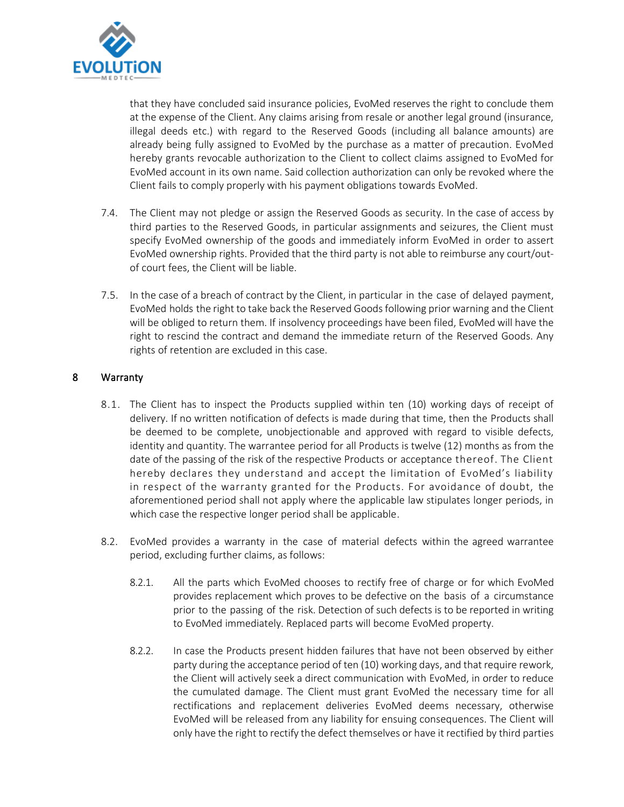

that they have concluded said insurance policies, EvoMed reserves the right to conclude them at the expense of the Client. Any claims arising from resale or another legal ground (insurance, illegal deeds etc.) with regard to the Reserved Goods (including all balance amounts) are already being fully assigned to EvoMed by the purchase as a matter of precaution. EvoMed hereby grants revocable authorization to the Client to collect claims assigned to EvoMed for EvoMed account in its own name. Said collection authorization can only be revoked where the Client fails to comply properly with his payment obligations towards EvoMed.

- 7.4. The Client may not pledge or assign the Reserved Goods as security. In the case of access by third parties to the Reserved Goods, in particular assignments and seizures, the Client must specify EvoMed ownership of the goods and immediately inform EvoMed in order to assert EvoMed ownership rights. Provided that the third party is not able to reimburse any court/outof court fees, the Client will be liable.
- 7.5. In the case of a breach of contract by the Client, in particular in the case of delayed payment, EvoMed holds the right to take back the Reserved Goodsfollowing prior warning and the Client will be obliged to return them. If insolvency proceedings have been filed, EvoMed will have the right to rescind the contract and demand the immediate return of the Reserved Goods. Any rights of retention are excluded in this case.

# 8 Warranty

- 8.1. The Client has to inspect the Products supplied within ten (10) working days of receipt of delivery. If no written notification of defects is made during that time, then the Products shall be deemed to be complete, unobjectionable and approved with regard to visible defects, identity and quantity. The warrantee period for all Products is twelve (12) months as from the date of the passing of the risk of the respective Products or acceptance thereof. The Client hereby declares they understand and accept the limitation of EvoMed's liability in respect of the warranty granted for the Products. For avoidance of doubt, the aforementioned period shall not apply where the applicable law stipulates longer periods, in which case the respective longer period shall be applicable.
- 8.2. EvoMed provides a warranty in the case of material defects within the agreed warrantee period, excluding further claims, as follows:
	- 8.2.1. All the parts which EvoMed chooses to rectify free of charge or for which EvoMed provides replacement which proves to be defective on the basis of a circumstance prior to the passing of the risk. Detection of such defects is to be reported in writing to EvoMed immediately. Replaced parts will become EvoMed property.
	- 8.2.2. In case the Products present hidden failures that have not been observed by either party during the acceptance period of ten (10) working days, and that require rework, the Client will actively seek a direct communication with EvoMed, in order to reduce the cumulated damage. The Client must grant EvoMed the necessary time for all rectifications and replacement deliveries EvoMed deems necessary, otherwise EvoMed will be released from any liability for ensuing consequences. The Client will only have the right to rectify the defect themselves or have it rectified by third parties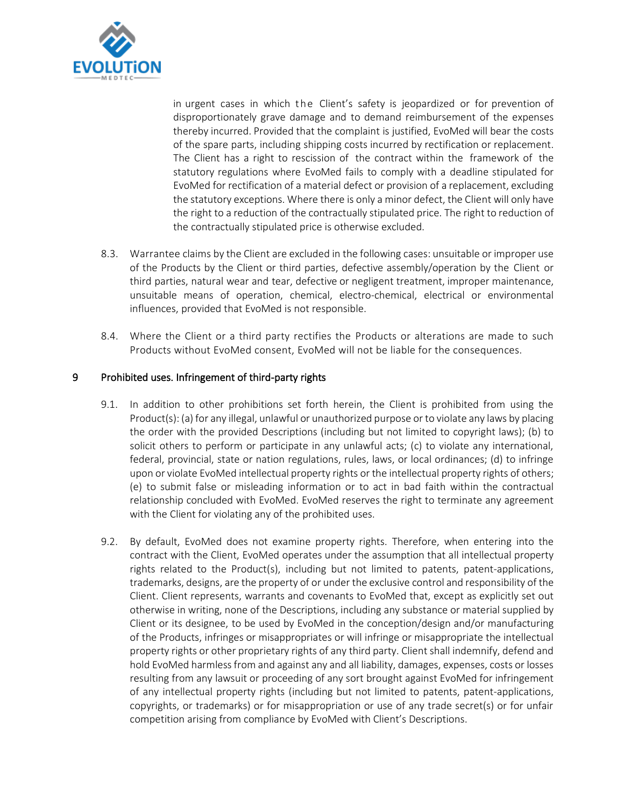

in urgent cases in which the Client's safety is jeopardized or for prevention of disproportionately grave damage and to demand reimbursement of the expenses thereby incurred. Provided that the complaint is justified, EvoMed will bear the costs of the spare parts, including shipping costs incurred by rectification or replacement. The Client has a right to rescission of the contract within the framework of the statutory regulations where EvoMed fails to comply with a deadline stipulated for EvoMed for rectification of a material defect or provision of a replacement, excluding the statutory exceptions. Where there is only a minor defect, the Client will only have the right to a reduction of the contractually stipulated price. The right to reduction of the contractually stipulated price is otherwise excluded.

- 8.3. Warrantee claims by the Client are excluded in the following cases: unsuitable or improper use of the Products by the Client or third parties, defective assembly/operation by the Client or third parties, natural wear and tear, defective or negligent treatment, improper maintenance, unsuitable means of operation, chemical, electro-chemical, electrical or environmental influences, provided that EvoMed is not responsible.
- 8.4. Where the Client or a third party rectifies the Products or alterations are made to such Products without EvoMed consent, EvoMed will not be liable for the consequences.

#### 9 Prohibited uses. Infringement of third-party rights

- 9.1. In addition to other prohibitions set forth herein, the Client is prohibited from using the Product(s): (a) for any illegal, unlawful or unauthorized purpose or to violate any laws by placing the order with the provided Descriptions (including but not limited to copyright laws); (b) to solicit others to perform or participate in any unlawful acts; (c) to violate any international, federal, provincial, state or nation regulations, rules, laws, or local ordinances; (d) to infringe upon or violate EvoMed intellectual property rights or the intellectual property rights of others; (e) to submit false or misleading information or to act in bad faith within the contractual relationship concluded with EvoMed. EvoMed reserves the right to terminate any agreement with the Client for violating any of the prohibited uses.
- 9.2. By default, EvoMed does not examine property rights. Therefore, when entering into the contract with the Client, EvoMed operates under the assumption that all intellectual property rights related to the Product(s), including but not limited to patents, patent-applications, trademarks, designs, are the property of or under the exclusive control and responsibility of the Client. Client represents, warrants and covenants to EvoMed that, except as explicitly set out otherwise in writing, none of the Descriptions, including any substance or material supplied by Client or its designee, to be used by EvoMed in the conception/design and/or manufacturing of the Products, infringes or misappropriates or will infringe or misappropriate the intellectual property rights or other proprietary rights of any third party. Client shall indemnify, defend and hold EvoMed harmless from and against any and all liability, damages, expenses, costs or losses resulting from any lawsuit or proceeding of any sort brought against EvoMed for infringement of any intellectual property rights (including but not limited to patents, patent-applications, copyrights, or trademarks) or for misappropriation or use of any trade secret(s) or for unfair competition arising from compliance by EvoMed with Client's Descriptions.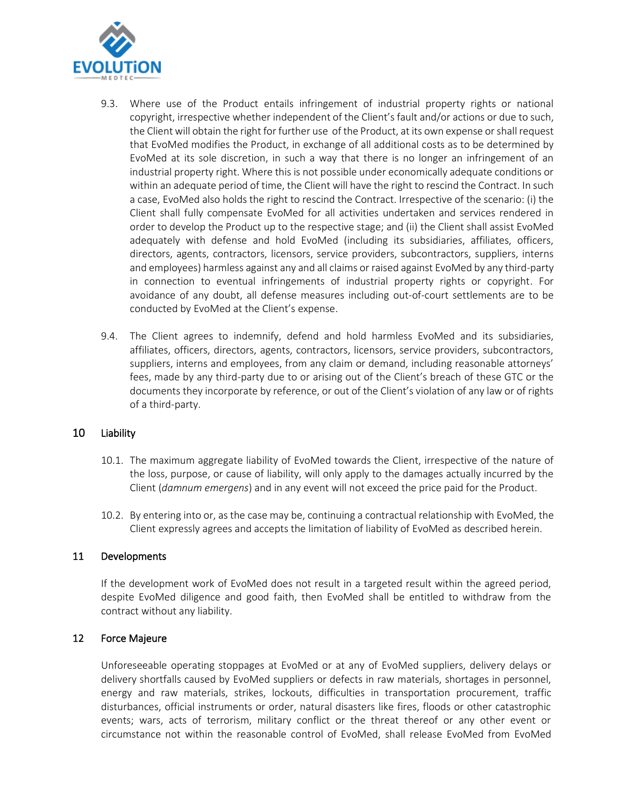

- 9.3. Where use of the Product entails infringement of industrial property rights or national copyright, irrespective whether independent of the Client's fault and/or actions or due to such, the Client will obtain the right for further use of the Product, at its own expense or shall request that EvoMed modifies the Product, in exchange of all additional costs as to be determined by EvoMed at its sole discretion, in such a way that there is no longer an infringement of an industrial property right. Where this is not possible under economically adequate conditions or within an adequate period of time, the Client will have the right to rescind the Contract. In such a case, EvoMed also holds the right to rescind the Contract. Irrespective of the scenario: (i) the Client shall fully compensate EvoMed for all activities undertaken and services rendered in order to develop the Product up to the respective stage; and (ii) the Client shall assist EvoMed adequately with defense and hold EvoMed (including its subsidiaries, affiliates, officers, directors, agents, contractors, licensors, service providers, subcontractors, suppliers, interns and employees) harmless against any and all claims or raised against EvoMed by any third-party in connection to eventual infringements of industrial property rights or copyright. For avoidance of any doubt, all defense measures including out-of-court settlements are to be conducted by EvoMed at the Client's expense.
- 9.4. The Client agrees to indemnify, defend and hold harmless EvoMed and its subsidiaries, affiliates, officers, directors, agents, contractors, licensors, service providers, subcontractors, suppliers, interns and employees, from any claim or demand, including reasonable attorneys' fees, made by any third-party due to or arising out of the Client's breach of these GTC or the documents they incorporate by reference, or out of the Client's violation of any law or of rights of a third-party.

#### 10 Liability

- 10.1. The maximum aggregate liability of EvoMed towards the Client, irrespective of the nature of the loss, purpose, or cause of liability, will only apply to the damages actually incurred by the Client (*damnum emergens*) and in any event will not exceed the price paid for the Product.
- 10.2. By entering into or, as the case may be, continuing a contractual relationship with EvoMed, the Client expressly agrees and accepts the limitation of liability of EvoMed as described herein.

#### 11 Developments

If the development work of EvoMed does not result in a targeted result within the agreed period, despite EvoMed diligence and good faith, then EvoMed shall be entitled to withdraw from the contract without any liability.

### 12 Force Majeure

Unforeseeable operating stoppages at EvoMed or at any of EvoMed suppliers, delivery delays or delivery shortfalls caused by EvoMed suppliers or defects in raw materials, shortages in personnel, energy and raw materials, strikes, lockouts, difficulties in transportation procurement, traffic disturbances, official instruments or order, natural disasters like fires, floods or other catastrophic events; wars, acts of terrorism, military conflict or the threat thereof or any other event or circumstance not within the reasonable control of EvoMed, shall release EvoMed from EvoMed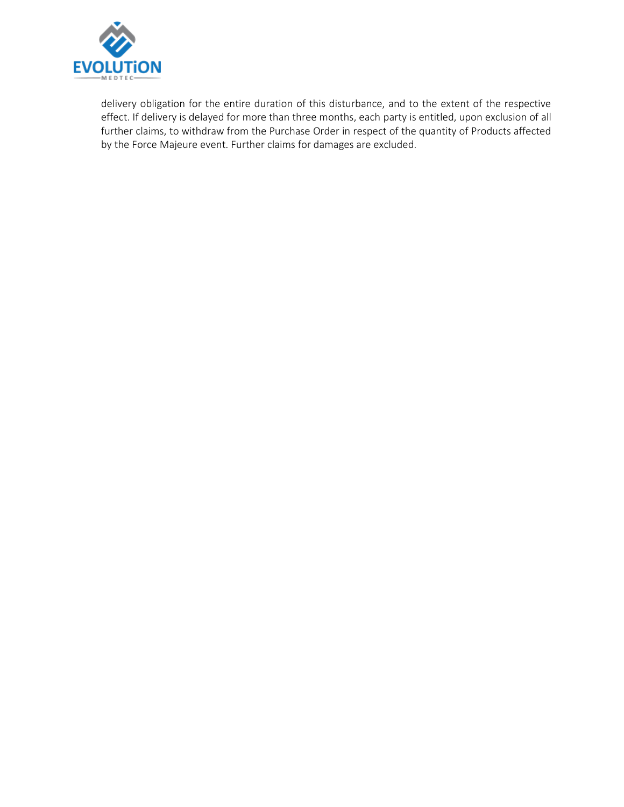

delivery obligation for the entire duration of this disturbance, and to the extent of the respective effect. If delivery is delayed for more than three months, each party is entitled, upon exclusion of all further claims, to withdraw from the Purchase Order in respect of the quantity of Products affected by the Force Majeure event. Further claims for damages are excluded.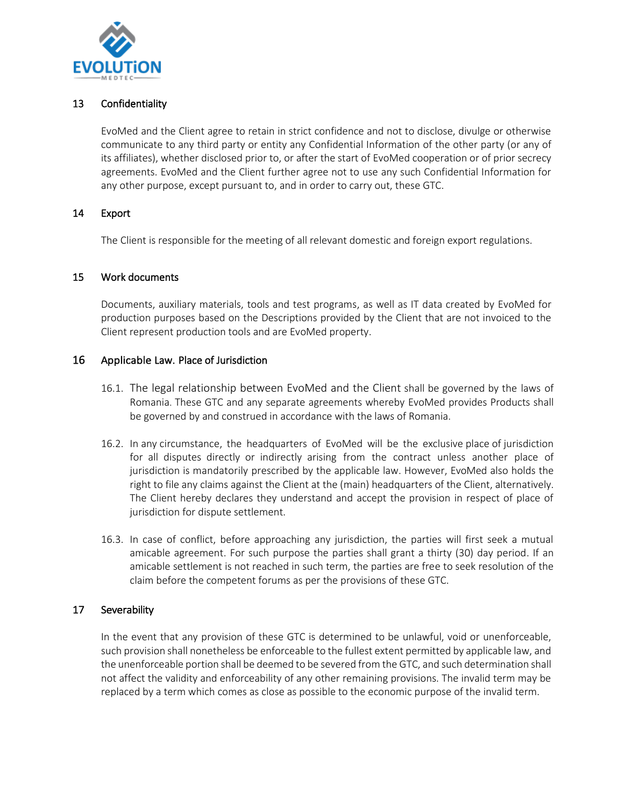

## 13 Confidentiality

EvoMed and the Client agree to retain in strict confidence and not to disclose, divulge or otherwise communicate to any third party or entity any Confidential Information of the other party (or any of its affiliates), whether disclosed prior to, or after the start of EvoMed cooperation or of prior secrecy agreements. EvoMed and the Client further agree not to use any such Confidential Information for any other purpose, except pursuant to, and in order to carry out, these GTC.

#### 14 Export

The Client is responsible for the meeting of all relevant domestic and foreign export regulations.

#### 15 Work documents

Documents, auxiliary materials, tools and test programs, as well as IT data created by EvoMed for production purposes based on the Descriptions provided by the Client that are not invoiced to the Client represent production tools and are EvoMed property.

### 16 Applicable Law. Place of Jurisdiction

- 16.1. The legal relationship between EvoMed and the Client shall be governed by the laws of Romania. These GTC and any separate agreements whereby EvoMed provides Products shall be governed by and construed in accordance with the laws of Romania.
- 16.2. In any circumstance, the headquarters of EvoMed will be the exclusive place of jurisdiction for all disputes directly or indirectly arising from the contract unless another place of jurisdiction is mandatorily prescribed by the applicable law. However, EvoMed also holds the right to file any claims against the Client at the (main) headquarters of the Client, alternatively. The Client hereby declares they understand and accept the provision in respect of place of jurisdiction for dispute settlement.
- 16.3. In case of conflict, before approaching any jurisdiction, the parties will first seek a mutual amicable agreement. For such purpose the parties shall grant a thirty (30) day period. If an amicable settlement is not reached in such term, the parties are free to seek resolution of the claim before the competent forums as per the provisions of these GTC.

#### 17 Severability

In the event that any provision of these GTC is determined to be unlawful, void or unenforceable, such provision shall nonetheless be enforceable to the fullest extent permitted by applicable law, and the unenforceable portion shall be deemed to be severed from the GTC, and such determination shall not affect the validity and enforceability of any other remaining provisions. The invalid term may be replaced by a term which comes as close as possible to the economic purpose of the invalid term.